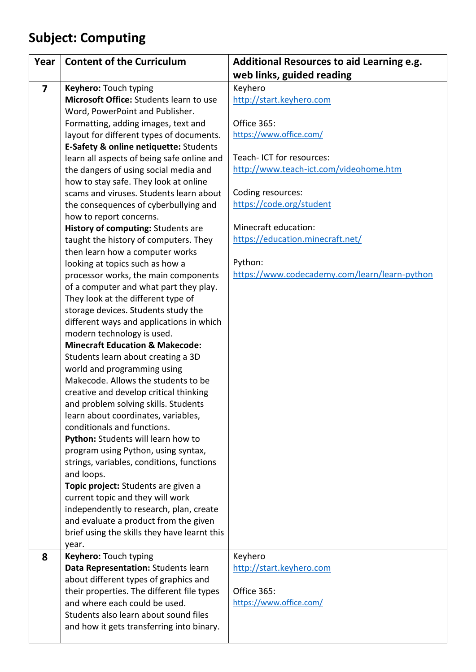## **Subject: Computing**

| Year                    | <b>Content of the Curriculum</b>                                         | Additional Resources to aid Learning e.g.     |
|-------------------------|--------------------------------------------------------------------------|-----------------------------------------------|
|                         |                                                                          | web links, guided reading                     |
| $\overline{\mathbf{z}}$ | Keyhero: Touch typing                                                    | Keyhero                                       |
|                         | Microsoft Office: Students learn to use                                  | http://start.keyhero.com                      |
|                         | Word, PowerPoint and Publisher.                                          |                                               |
|                         | Formatting, adding images, text and                                      | Office 365:                                   |
|                         | layout for different types of documents.                                 | https://www.office.com/                       |
|                         | E-Safety & online netiquette: Students                                   |                                               |
|                         | learn all aspects of being safe online and                               | Teach- ICT for resources:                     |
|                         | the dangers of using social media and                                    | http://www.teach-ict.com/videohome.htm        |
|                         | how to stay safe. They look at online                                    |                                               |
|                         | scams and viruses. Students learn about                                  | Coding resources:                             |
|                         | the consequences of cyberbullying and                                    | https://code.org/student                      |
|                         | how to report concerns.                                                  |                                               |
|                         | History of computing: Students are                                       | Minecraft education:                          |
|                         | taught the history of computers. They                                    | https://education.minecraft.net/              |
|                         | then learn how a computer works                                          |                                               |
|                         | looking at topics such as how a                                          | Python:                                       |
|                         | processor works, the main components                                     | https://www.codecademy.com/learn/learn-python |
|                         | of a computer and what part they play.                                   |                                               |
|                         | They look at the different type of                                       |                                               |
|                         | storage devices. Students study the                                      |                                               |
|                         | different ways and applications in which                                 |                                               |
|                         | modern technology is used.<br><b>Minecraft Education &amp; Makecode:</b> |                                               |
|                         |                                                                          |                                               |
|                         | Students learn about creating a 3D<br>world and programming using        |                                               |
|                         | Makecode. Allows the students to be                                      |                                               |
|                         | creative and develop critical thinking                                   |                                               |
|                         | and problem solving skills. Students                                     |                                               |
|                         | learn about coordinates, variables,                                      |                                               |
|                         | conditionals and functions.                                              |                                               |
|                         | Python: Students will learn how to                                       |                                               |
|                         | program using Python, using syntax,                                      |                                               |
|                         | strings, variables, conditions, functions                                |                                               |
|                         | and loops.                                                               |                                               |
|                         | Topic project: Students are given a                                      |                                               |
|                         | current topic and they will work                                         |                                               |
|                         | independently to research, plan, create                                  |                                               |
|                         | and evaluate a product from the given                                    |                                               |
|                         | brief using the skills they have learnt this                             |                                               |
|                         | year.                                                                    |                                               |
| 8                       | Keyhero: Touch typing                                                    | Keyhero                                       |
|                         | Data Representation: Students learn                                      | http://start.keyhero.com                      |
|                         | about different types of graphics and                                    |                                               |
|                         | their properties. The different file types                               | Office 365:                                   |
|                         | and where each could be used.                                            | https://www.office.com/                       |
|                         | Students also learn about sound files                                    |                                               |
|                         | and how it gets transferring into binary.                                |                                               |
|                         |                                                                          |                                               |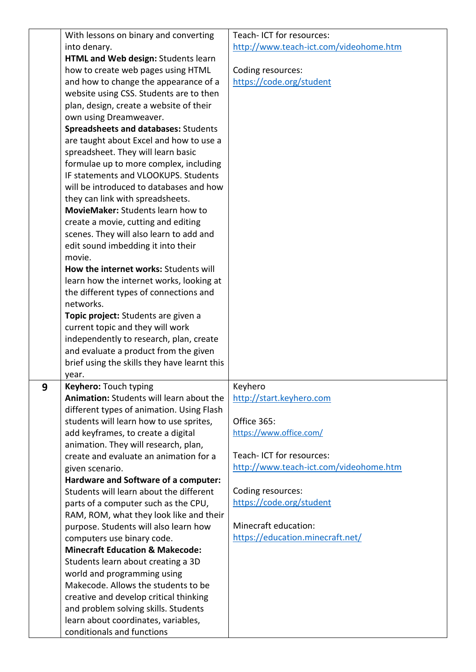|   | With lessons on binary and converting        | Teach- ICT for resources:              |
|---|----------------------------------------------|----------------------------------------|
|   | into denary.                                 | http://www.teach-ict.com/videohome.htm |
|   | HTML and Web design: Students learn          |                                        |
|   | how to create web pages using HTML           | Coding resources:                      |
|   | and how to change the appearance of a        | https://code.org/student               |
|   | website using CSS. Students are to then      |                                        |
|   | plan, design, create a website of their      |                                        |
|   | own using Dreamweaver.                       |                                        |
|   | <b>Spreadsheets and databases: Students</b>  |                                        |
|   | are taught about Excel and how to use a      |                                        |
|   | spreadsheet. They will learn basic           |                                        |
|   | formulae up to more complex, including       |                                        |
|   | IF statements and VLOOKUPS. Students         |                                        |
|   | will be introduced to databases and how      |                                        |
|   | they can link with spreadsheets.             |                                        |
|   | MovieMaker: Students learn how to            |                                        |
|   | create a movie, cutting and editing          |                                        |
|   | scenes. They will also learn to add and      |                                        |
|   |                                              |                                        |
|   | edit sound imbedding it into their           |                                        |
|   | movie.                                       |                                        |
|   | How the internet works: Students will        |                                        |
|   | learn how the internet works, looking at     |                                        |
|   | the different types of connections and       |                                        |
|   | networks.                                    |                                        |
|   | Topic project: Students are given a          |                                        |
|   | current topic and they will work             |                                        |
|   | independently to research, plan, create      |                                        |
|   | and evaluate a product from the given        |                                        |
|   | brief using the skills they have learnt this |                                        |
|   | year.                                        |                                        |
| 9 | <b>Keyhero:</b> Touch typing                 | Keyhero                                |
|   | Animation: Students will learn about the     | http://start.keyhero.com               |
|   | different types of animation. Using Flash    |                                        |
|   | students will learn how to use sprites,      | Office 365:                            |
|   | add keyframes, to create a digital           | https://www.office.com/                |
|   | animation. They will research, plan,         |                                        |
|   | create and evaluate an animation for a       | Teach- ICT for resources:              |
|   | given scenario.                              | http://www.teach-ict.com/videohome.htm |
|   | Hardware and Software of a computer:         |                                        |
|   | Students will learn about the different      | Coding resources:                      |
|   | parts of a computer such as the CPU,         | https://code.org/student               |
|   | RAM, ROM, what they look like and their      |                                        |
|   | purpose. Students will also learn how        | Minecraft education:                   |
|   | computers use binary code.                   | https://education.minecraft.net/       |
|   | <b>Minecraft Education &amp; Makecode:</b>   |                                        |
|   | Students learn about creating a 3D           |                                        |
|   | world and programming using                  |                                        |
|   | Makecode. Allows the students to be          |                                        |
|   | creative and develop critical thinking       |                                        |
|   | and problem solving skills. Students         |                                        |
|   | learn about coordinates, variables,          |                                        |
|   | conditionals and functions                   |                                        |